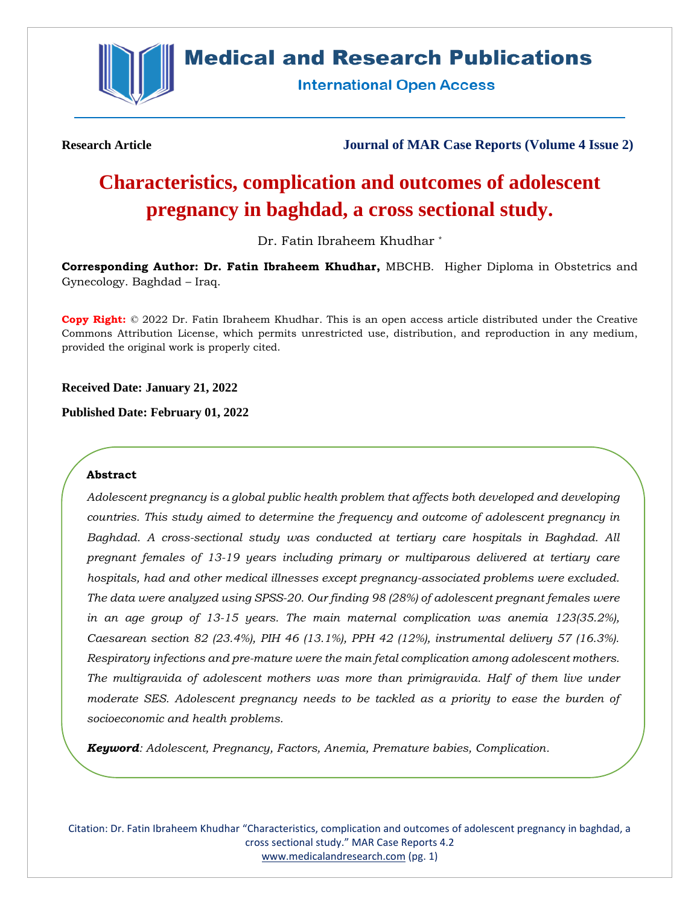

# **Medical and Research Publications**

**International Open Access** 

**Research Article Journal of MAR Case Reports (Volume 4 Issue 2)**

# **Characteristics, complication and outcomes of adolescent pregnancy in baghdad, a cross sectional study.**

Dr. Fatin Ibraheem Khudhar \*

**Corresponding Author: Dr. Fatin Ibraheem Khudhar,** MBCHB. Higher Diploma in Obstetrics and Gynecology. Baghdad – Iraq.

**Copy Right:** © 2022 Dr. Fatin Ibraheem Khudhar. This is an open access article distributed under the Creative Commons Attribution License, which permits unrestricted use, distribution, and reproduction in any medium, provided the original work is properly cited.

**Received Date: January 21, 2022**

**Published Date: February 01, 2022**

### **Abstract**

*Adolescent pregnancy is a global public health problem that affects both developed and developing countries. This study aimed to determine the frequency and outcome of adolescent pregnancy in Baghdad. A cross-sectional study was conducted at tertiary care hospitals in Baghdad. All pregnant females of 13-19 years including primary or multiparous delivered at tertiary care hospitals, had and other medical illnesses except pregnancy-associated problems were excluded. The data were analyzed using SPSS-20. Our finding 98 (28%) of adolescent pregnant females were in an age group of 13-15 years. The main maternal complication was anemia 123(35.2%), Caesarean section 82 (23.4%), PIH 46 (13.1%), PPH 42 (12%), instrumental delivery 57 (16.3%). Respiratory infections and pre-mature were the main fetal complication among adolescent mothers. The multigravida of adolescent mothers was more than primigravida. Half of them live under*  moderate SES. Adolescent pregnancy needs to be tackled as a priority to ease the burden of *socioeconomic and health problems.*

*Keyword: Adolescent, Pregnancy, Factors, Anemia, Premature babies, Complication.*

Citation: Dr. Fatin Ibraheem Khudhar "Characteristics, complication and outcomes of adolescent pregnancy in baghdad, a cross sectional study." MAR Case Reports 4.2 [www.medicalandresearch.com](http://www.medicalandresearch.com/) (pg. 1)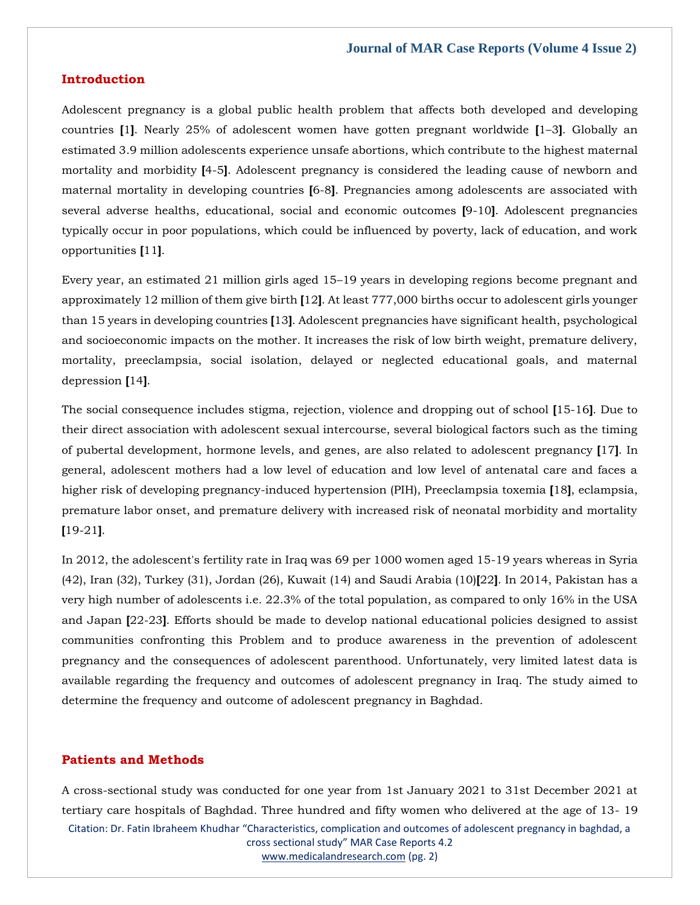#### **Introduction**

Adolescent pregnancy is a global public health problem that affects both developed and developing countries **[**1**]**. Nearly 25% of adolescent women have gotten pregnant worldwide **[**1–3**]**. Globally an estimated 3.9 million adolescents experience unsafe abortions, which contribute to the highest maternal mortality and morbidity **[**4-5**]**. Adolescent pregnancy is considered the leading cause of newborn and maternal mortality in developing countries **[**6-8**]**. Pregnancies among adolescents are associated with several adverse healths, educational, social and economic outcomes **[**9-10**]**. Adolescent pregnancies typically occur in poor populations, which could be influenced by poverty, lack of education, and work opportunities **[**11**]**.

Every year, an estimated 21 million girls aged 15–19 years in developing regions become pregnant and approximately 12 million of them give birth **[**12**]**. At least 777,000 births occur to adolescent girls younger than 15 years in developing countries **[**13**]**. Adolescent pregnancies have significant health, psychological and socioeconomic impacts on the mother. It increases the risk of low birth weight, premature delivery, mortality, preeclampsia, social isolation, delayed or neglected educational goals, and maternal depression **[**14**]**.

The social consequence includes stigma, rejection, violence and dropping out of school **[**15-16**]**. Due to their direct association with adolescent sexual intercourse, several biological factors such as the timing of pubertal development, hormone levels, and genes, are also related to adolescent pregnancy **[**17**]**. In general, adolescent mothers had a low level of education and low level of antenatal care and faces a higher risk of developing pregnancy-induced hypertension (PIH), Preeclampsia toxemia **[**18**]**, eclampsia, premature labor onset, and premature delivery with increased risk of neonatal morbidity and mortality **[**19-21**]**.

In 2012, the adolescent's fertility rate in Iraq was 69 per 1000 women aged 15-19 years whereas in Syria (42), Iran (32), Turkey (31), Jordan (26), Kuwait (14) and Saudi Arabia (10)**[**22**]**. In 2014, Pakistan has a very high number of adolescents i.e. 22.3% of the total population, as compared to only 16% in the USA and Japan **[**22-23**]**. Efforts should be made to develop national educational policies designed to assist communities confronting this Problem and to produce awareness in the prevention of adolescent pregnancy and the consequences of adolescent parenthood. Unfortunately, very limited latest data is available regarding the frequency and outcomes of adolescent pregnancy in Iraq. The study aimed to determine the frequency and outcome of adolescent pregnancy in Baghdad.

#### **Patients and Methods**

Citation: Dr. Fatin Ibraheem Khudhar "Characteristics, complication and outcomes of adolescent pregnancy in baghdad, a cross sectional study" MAR Case Reports 4.2 [www.medicalandresearch.com](http://www.medicalandresearch.com/) (pg. 2) A cross-sectional study was conducted for one year from 1st January 2021 to 31st December 2021 at tertiary care hospitals of Baghdad. Three hundred and fifty women who delivered at the age of 13- 19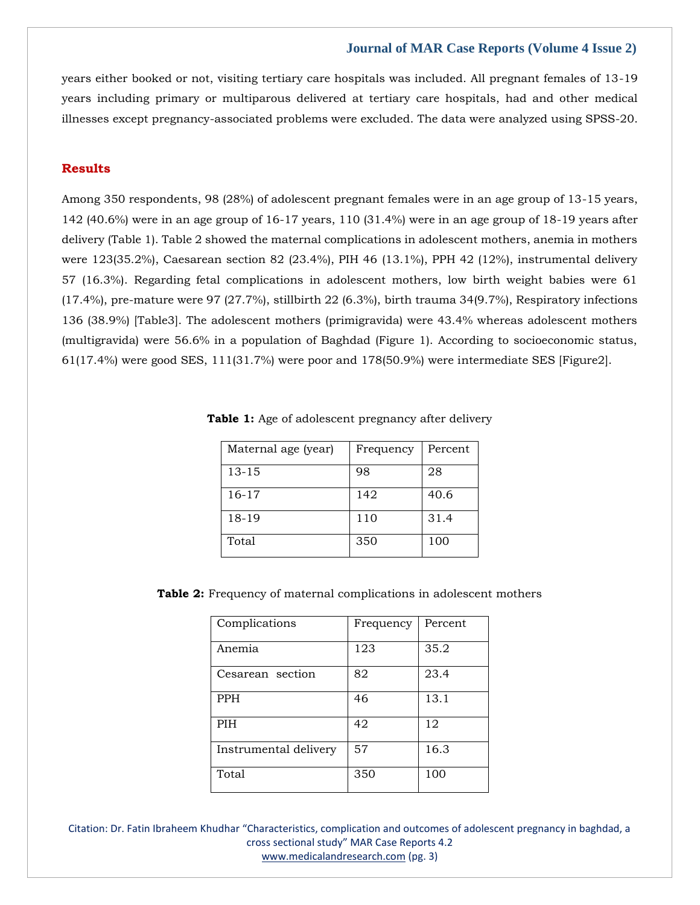years either booked or not, visiting tertiary care hospitals was included. All pregnant females of 13-19 years including primary or multiparous delivered at tertiary care hospitals, had and other medical illnesses except pregnancy-associated problems were excluded. The data were analyzed using SPSS-20.

# **Results**

Among 350 respondents, 98 (28%) of adolescent pregnant females were in an age group of 13-15 years, 142 (40.6%) were in an age group of 16-17 years, 110 (31.4%) were in an age group of 18-19 years after delivery (Table 1). Table 2 showed the maternal complications in adolescent mothers, anemia in mothers were 123(35.2%), Caesarean section 82 (23.4%), PIH 46 (13.1%), PPH 42 (12%), instrumental delivery 57 (16.3%). Regarding fetal complications in adolescent mothers, low birth weight babies were 61 (17.4%), pre-mature were 97 (27.7%), stillbirth 22 (6.3%), birth trauma 34(9.7%), Respiratory infections 136 (38.9%) [Table3]. The adolescent mothers (primigravida) were 43.4% whereas adolescent mothers (multigravida) were 56.6% in a population of Baghdad (Figure 1). According to socioeconomic status, 61(17.4%) were good SES, 111(31.7%) were poor and 178(50.9%) were intermediate SES [Figure2].

| Maternal age (year) | Frequency | Percent |
|---------------------|-----------|---------|
| $13 - 15$           | 98        | 28      |
| $16-17$             | 142       | 40.6    |
| 18-19               | 110       | 31.4    |
| Total               | 350       | 100     |

**Table 1:** Age of adolescent pregnancy after delivery

**Table 2:** Frequency of maternal complications in adolescent mothers

| Complications         | Frequency | Percent |
|-----------------------|-----------|---------|
| Anemia                | 123       | 35.2    |
| Cesarean section      | 82        | 23.4    |
| <b>PPH</b>            | 46        | 13.1    |
| <b>PIH</b>            | 42        | 12      |
| Instrumental delivery | 57        | 16.3    |
| Total                 | 350       | 100     |

Citation: Dr. Fatin Ibraheem Khudhar "Characteristics, complication and outcomes of adolescent pregnancy in baghdad, a cross sectional study" MAR Case Reports 4.2 [www.medicalandresearch.com](http://www.medicalandresearch.com/) (pg. 3)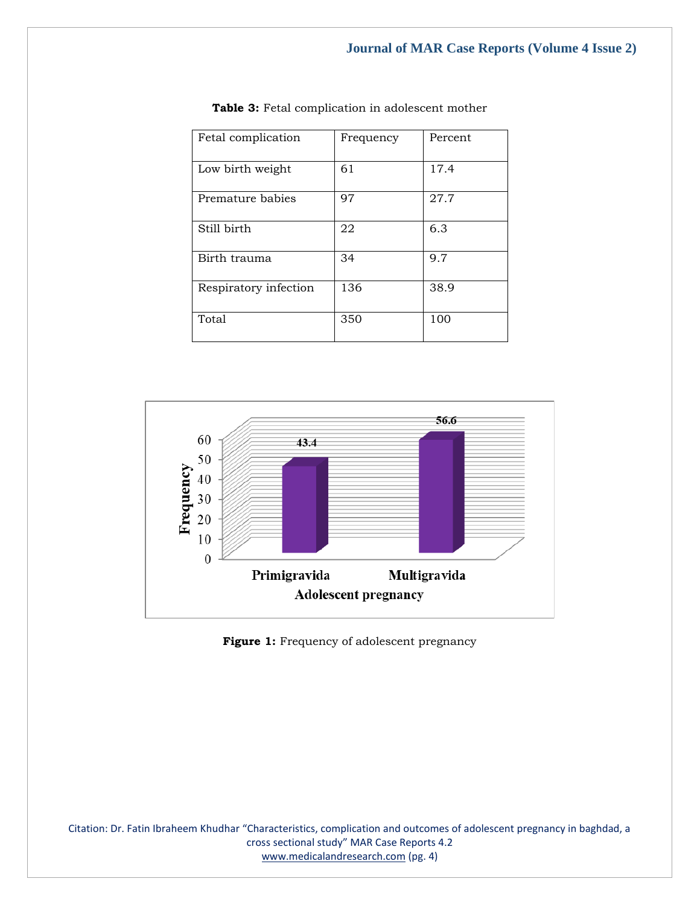| Fetal complication    | Frequency | Percent |
|-----------------------|-----------|---------|
| Low birth weight      | 61        | 17.4    |
| Premature babies      | 97        | 27.7    |
| Still birth           | 22        | 6.3     |
| Birth trauma          | 34        | 9.7     |
| Respiratory infection | 136       | 38.9    |
| Total                 | 350       | 100     |

**Table 3:** Fetal complication in adolescent mother



Figure 1: Frequency of adolescent pregnancy

Citation: Dr. Fatin Ibraheem Khudhar "Characteristics, complication and outcomes of adolescent pregnancy in baghdad, a cross sectional study" MAR Case Reports 4.2 [www.medicalandresearch.com](http://www.medicalandresearch.com/) (pg. 4)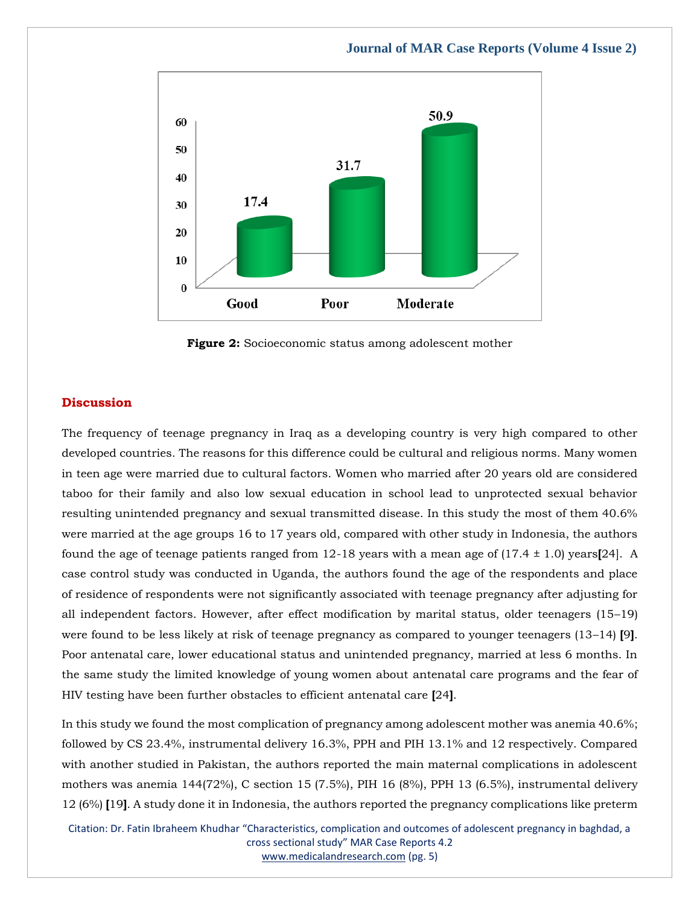

**Figure 2:** Socioeconomic status among adolescent mother

#### **Discussion**

The frequency of teenage pregnancy in Iraq as a developing country is very high compared to other developed countries. The reasons for this difference could be cultural and religious norms. Many women in teen age were married due to cultural factors. Women who married after 20 years old are considered taboo for their family and also low sexual education in school lead to unprotected sexual behavior resulting unintended pregnancy and sexual transmitted disease. In this study the most of them 40.6% were married at the age groups 16 to 17 years old, compared with other study in Indonesia, the authors found the age of teenage patients ranged from 12-18 years with a mean age of (17.4 ± 1.0) years**[**24]. A case control study was conducted in Uganda, the authors found the age of the respondents and place of residence of respondents were not significantly associated with teenage pregnancy after adjusting for all independent factors. However, after effect modification by marital status, older teenagers (15–19) were found to be less likely at risk of teenage pregnancy as compared to younger teenagers (13–14) **[**9**]**. Poor antenatal care, lower educational status and unintended pregnancy, married at less 6 months. In the same study the limited knowledge of young women about antenatal care programs and the fear of HIV testing have been further obstacles to efficient antenatal care **[**24**]**.

In this study we found the most complication of pregnancy among adolescent mother was anemia 40.6%; followed by CS 23.4%, instrumental delivery 16.3%, PPH and PIH 13.1% and 12 respectively. Compared with another studied in Pakistan, the authors reported the main maternal complications in adolescent mothers was anemia 144(72%), C section 15 (7.5%), PIH 16 (8%), PPH 13 (6.5%), instrumental delivery 12 (6%) **[**19**]**. A study done it in Indonesia, the authors reported the pregnancy complications like preterm

Citation: Dr. Fatin Ibraheem Khudhar "Characteristics, complication and outcomes of adolescent pregnancy in baghdad, a cross sectional study" MAR Case Reports 4.2 [www.medicalandresearch.com](http://www.medicalandresearch.com/) (pg. 5)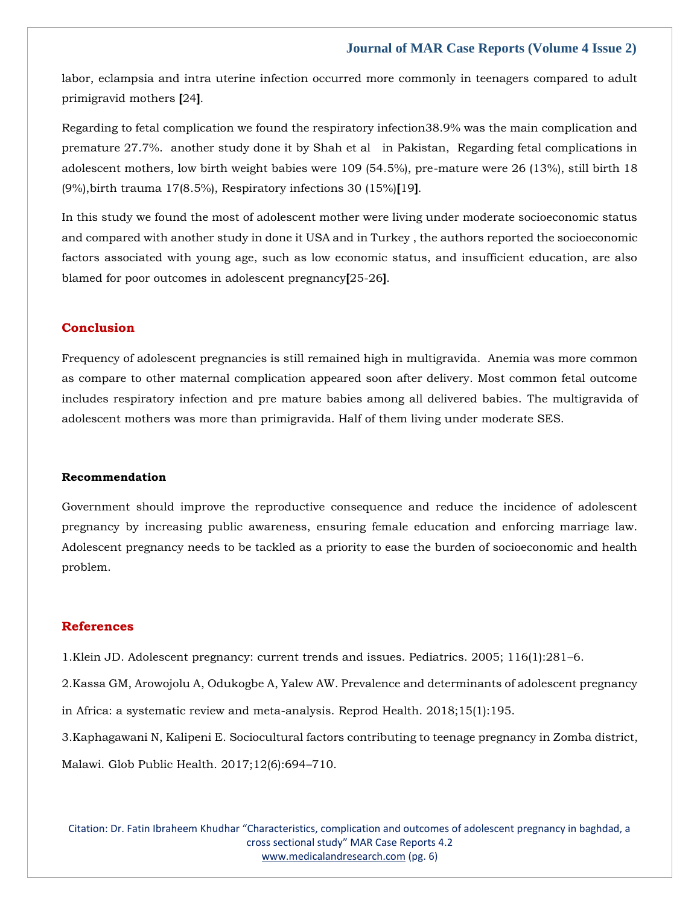labor, eclampsia and intra uterine infection occurred more commonly in teenagers compared to adult primigravid mothers **[**24**]**.

Regarding to fetal complication we found the respiratory infection38.9% was the main complication and premature 27.7%. another study done it by Shah et al in Pakistan, Regarding fetal complications in adolescent mothers, low birth weight babies were 109 (54.5%), pre-mature were 26 (13%), still birth 18 (9%),birth trauma 17(8.5%), Respiratory infections 30 (15%)**[**19**]**.

In this study we found the most of adolescent mother were living under moderate socioeconomic status and compared with another study in done it USA and in Turkey , the authors reported the socioeconomic factors associated with young age, such as low economic status, and insufficient education, are also blamed for poor outcomes in adolescent pregnancy**[**25-26**]**.

# **Conclusion**

Frequency of adolescent pregnancies is still remained high in multigravida. Anemia was more common as compare to other maternal complication appeared soon after delivery. Most common fetal outcome includes respiratory infection and pre mature babies among all delivered babies. The multigravida of adolescent mothers was more than primigravida. Half of them living under moderate SES.

#### **Recommendation**

Government should improve the reproductive consequence and reduce the incidence of adolescent pregnancy by increasing public awareness, ensuring female education and enforcing marriage law. Adolescent pregnancy needs to be tackled as a priority to ease the burden of socioeconomic and health problem.

#### **References**

1[.Klein JD. Adolescent pregnancy: current trends and issues. Pediatrics. 2005; 116\(1\):281](https://www.google.com/search?q=Adolescent+pregnancy%3A+current+trends+and+issues&oq=Adolescent+pregnancy%3A+current+trends+and+issues&aqs=chrome..69i57.935j0j7&sourceid=chrome&ie=UTF-8)–6.

2[.Kassa GM, Arowojolu A, Odukogbe A, Yalew AW. Prevalence and determinants of adolescent pregnancy](https://www.google.com/search?q=Prevalence+and+determinants+of+adolescent+pregnancy+in+Africa%3A+a+systematic+review+and+meta-analysis&sxsrf=AOaemvIjhrP7dcfXEZDBJeKi0seLNn65BA%3A1643017258548&ei=KnTuYdT8IPCVseMPieCm8Aw&ved=0ahUKEwjUubigjMr1AhXwSmwGHQmwCc4Q4dUDCA4&uact=5&oq=Prevalence+and+determinants+of+adolescent+pregnancy+in+Africa%3A+a+systematic+review+and+meta-analysis&gs_lcp=Cgdnd3Mtd2l6EAMyBQgAEIAEOgcIIxDqAhAnSgQIQRgASgQIRhgAUOYFWOYFYLYIaAFwAngAgAGXAYgBlwGSAQMwLjGYAQCgAQGgAQKwAQrAAQE&sclient=gws-wiz)  [in Africa: a systematic review and meta-analysis. Reprod Health. 2018;15\(1\):195.](https://www.google.com/search?q=Prevalence+and+determinants+of+adolescent+pregnancy+in+Africa%3A+a+systematic+review+and+meta-analysis&sxsrf=AOaemvIjhrP7dcfXEZDBJeKi0seLNn65BA%3A1643017258548&ei=KnTuYdT8IPCVseMPieCm8Aw&ved=0ahUKEwjUubigjMr1AhXwSmwGHQmwCc4Q4dUDCA4&uact=5&oq=Prevalence+and+determinants+of+adolescent+pregnancy+in+Africa%3A+a+systematic+review+and+meta-analysis&gs_lcp=Cgdnd3Mtd2l6EAMyBQgAEIAEOgcIIxDqAhAnSgQIQRgASgQIRhgAUOYFWOYFYLYIaAFwAngAgAGXAYgBlwGSAQMwLjGYAQCgAQGgAQKwAQrAAQE&sclient=gws-wiz)

3[.Kaphagawani N, Kalipeni E. Sociocultural factors contributing to teenage pregnancy in Zomba district,](https://www.google.com/search?q=Sociocultural+factors+contributing+to+teenage+pregnancy+in+Zomba+district%2C+Malawi.&sxsrf=AOaemvKGKcZpkMhtaJU8iGRdgEqKKIUfkA%3A1643017288085&ei=SHTuYYbUBPCVseMP9JKk0A0&ved=0ahUKEwiGmMOujMr1AhXwSmwGHXQJCdoQ4dUDCA4&uact=5&oq=Sociocultural+factors+contributing+to+teenage+pregnancy+in+Zomba+district%2C+Malawi.&gs_lcp=Cgdnd3Mtd2l6EAMyBggAEBYQHjoHCCMQ6gIQJ0oECEEYAEoECEYYAFCZBliZBmCeCWgBcAJ4AIAB4gGIAeIBkgEDMi0xmAEAoAEBoAECsAEKwAEB&sclient=gws-wiz) 

[Malawi. Glob Public Health. 2017;12\(6\):694](https://www.google.com/search?q=Sociocultural+factors+contributing+to+teenage+pregnancy+in+Zomba+district%2C+Malawi.&sxsrf=AOaemvKGKcZpkMhtaJU8iGRdgEqKKIUfkA%3A1643017288085&ei=SHTuYYbUBPCVseMP9JKk0A0&ved=0ahUKEwiGmMOujMr1AhXwSmwGHXQJCdoQ4dUDCA4&uact=5&oq=Sociocultural+factors+contributing+to+teenage+pregnancy+in+Zomba+district%2C+Malawi.&gs_lcp=Cgdnd3Mtd2l6EAMyBggAEBYQHjoHCCMQ6gIQJ0oECEEYAEoECEYYAFCZBliZBmCeCWgBcAJ4AIAB4gGIAeIBkgEDMi0xmAEAoAEBoAECsAEKwAEB&sclient=gws-wiz)–710.

Citation: Dr. Fatin Ibraheem Khudhar "Characteristics, complication and outcomes of adolescent pregnancy in baghdad, a cross sectional study" MAR Case Reports 4.2 [www.medicalandresearch.com](http://www.medicalandresearch.com/) (pg. 6)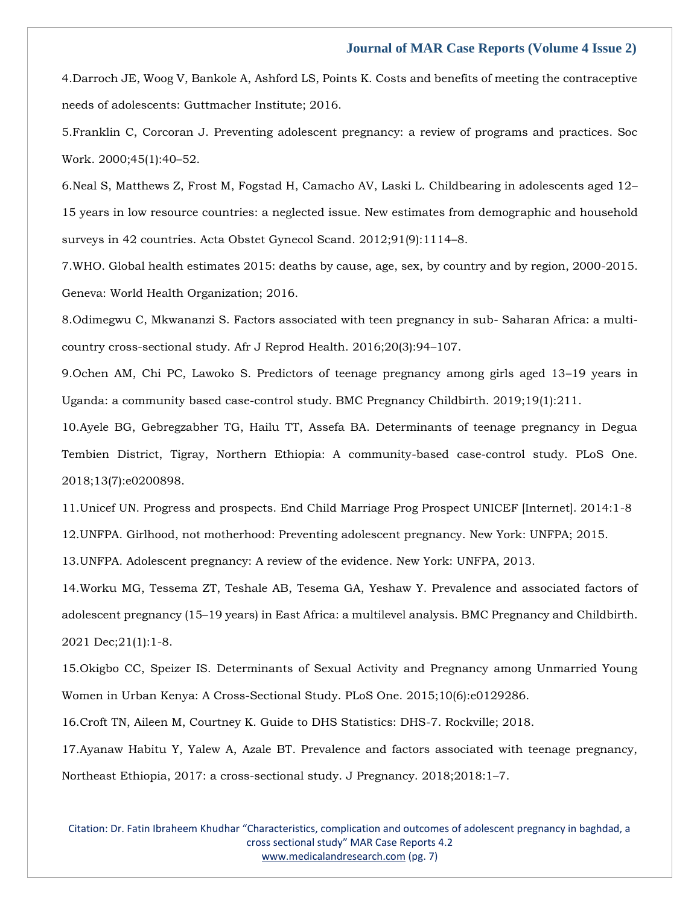4[.Darroch JE, Woog V, Bankole A, Ashford LS, Points K. Costs and benefits of meeting the contraceptive](https://www.google.com/search?q=Costs+and+benefits+of+meeting+the+contraceptive+needs+of+adolescents%3A+Guttmacher+Institute%3B+2016&sxsrf=AOaemvIP4Q4Fu25gdHqkgD7xZucjUlPolQ%3A1643017306506&ei=WnTuYeikHsqaseMPl5O86AU&ved=0ahUKEwjouae3jMr1AhVKTWwGHZcJD10Q4dUDCA4&uact=5&oq=Costs+and+benefits+of+meeting+the+contraceptive+needs+of+adolescents%3A+Guttmacher+Institute%3B+2016&gs_lcp=Cgdnd3Mtd2l6EAM6BwgjEOoCECdKBAhBGABKBAhGGABQ3wVY3wVg1AhoAXACeACAAasBiAGrAZIBAzAuMZgBAKABAaABArABCsABAQ&sclient=gws-wiz)  [needs of adolescents: Guttmacher Institute; 2016.](https://www.google.com/search?q=Costs+and+benefits+of+meeting+the+contraceptive+needs+of+adolescents%3A+Guttmacher+Institute%3B+2016&sxsrf=AOaemvIP4Q4Fu25gdHqkgD7xZucjUlPolQ%3A1643017306506&ei=WnTuYeikHsqaseMPl5O86AU&ved=0ahUKEwjouae3jMr1AhVKTWwGHZcJD10Q4dUDCA4&uact=5&oq=Costs+and+benefits+of+meeting+the+contraceptive+needs+of+adolescents%3A+Guttmacher+Institute%3B+2016&gs_lcp=Cgdnd3Mtd2l6EAM6BwgjEOoCECdKBAhBGABKBAhGGABQ3wVY3wVg1AhoAXACeACAAasBiAGrAZIBAzAuMZgBAKABAaABArABCsABAQ&sclient=gws-wiz)

5[.Franklin C, Corcoran J. Preventing adolescent pregnancy: a review of programs and practices. Soc](https://www.google.com/search?q=Preventing+adolescent+pregnancy%3A+a+review+of+programs+and+practices&sxsrf=AOaemvKH2WUOr2bvNHIUKXjcdZtgg5AN1w%3A1643017327200&ei=b3TuYae7C_mMseMP4vyxoA4&ved=0ahUKEwjnrpbBjMr1AhV5RmwGHWJ-DOQQ4dUDCA4&uact=5&oq=Preventing+adolescent+pregnancy%3A+a+review+of+programs+and+practices&gs_lcp=Cgdnd3Mtd2l6EAM6BwgjEOoCECdKBAhBGABKBAhGGABQpAVYpAVg2QdoAXACeACAAbwBiAG8AZIBAzAuMZgBAKABAaABArABCsABAQ&sclient=gws-wiz)  [Work. 2000;45\(1\):40](https://www.google.com/search?q=Preventing+adolescent+pregnancy%3A+a+review+of+programs+and+practices&sxsrf=AOaemvKH2WUOr2bvNHIUKXjcdZtgg5AN1w%3A1643017327200&ei=b3TuYae7C_mMseMP4vyxoA4&ved=0ahUKEwjnrpbBjMr1AhV5RmwGHWJ-DOQQ4dUDCA4&uact=5&oq=Preventing+adolescent+pregnancy%3A+a+review+of+programs+and+practices&gs_lcp=Cgdnd3Mtd2l6EAM6BwgjEOoCECdKBAhBGABKBAhGGABQpAVYpAVg2QdoAXACeACAAbwBiAG8AZIBAzAuMZgBAKABAaABArABCsABAQ&sclient=gws-wiz)–52.

6[.Neal S, Matthews Z, Frost M, Fogstad H, Camacho AV, Laski L. Childbearing in adolescents aged 12](https://www.google.com/search?q=Childbearing+in+adolescents+aged+12%E2%80%9315+years+in+low+resource+countries%3A+a+neglected+issue.+New+estimates+from+demographic+and+household+surveys+in+42+countries&sxsrf=AOaemvKBIGWi6INnVEeGbHAAcqeK1ceiwQ%3A1643017344928&ei=gHTuYYn0N6iXseMPk_6aiAw&ved=0ahUKEwiJtNDJjMr1AhWoS2wGHRO_BsEQ4dUDCA4&uact=5&oq=Childbearing+in+adolescents+aged+12%E2%80%9315+years+in+low+resource+countries%3A+a+neglected+issue.+New+estimates+from+demographic+and+household+surveys+in+42+countries&gs_lcp=Cgdnd3Mtd2l6EAMyBwgjEOoCECcyBwgjEOoCECcyBwgjEOoCECcyBwgjEOoCECcyBwgjEOoCECcyBwgjEOoCECcyBwgjEOoCECcyBwgjEOoCECcyBwgjEOoCECcyBwgjEOoCECdKBAhBGABKBAhGGABQuAVYuAVg-wdoAXAAeACAAQCIAQCSAQCYAQCgAQGgAQKwAQrAAQE&sclient=gws-wiz)– [15 years in low resource countries: a neglected issue. New estimates from demographic and household](https://www.google.com/search?q=Childbearing+in+adolescents+aged+12%E2%80%9315+years+in+low+resource+countries%3A+a+neglected+issue.+New+estimates+from+demographic+and+household+surveys+in+42+countries&sxsrf=AOaemvKBIGWi6INnVEeGbHAAcqeK1ceiwQ%3A1643017344928&ei=gHTuYYn0N6iXseMPk_6aiAw&ved=0ahUKEwiJtNDJjMr1AhWoS2wGHRO_BsEQ4dUDCA4&uact=5&oq=Childbearing+in+adolescents+aged+12%E2%80%9315+years+in+low+resource+countries%3A+a+neglected+issue.+New+estimates+from+demographic+and+household+surveys+in+42+countries&gs_lcp=Cgdnd3Mtd2l6EAMyBwgjEOoCECcyBwgjEOoCECcyBwgjEOoCECcyBwgjEOoCECcyBwgjEOoCECcyBwgjEOoCECcyBwgjEOoCECcyBwgjEOoCECcyBwgjEOoCECcyBwgjEOoCECdKBAhBGABKBAhGGABQuAVYuAVg-wdoAXAAeACAAQCIAQCSAQCYAQCgAQGgAQKwAQrAAQE&sclient=gws-wiz)  [surveys in 42 countries. Acta Obstet Gynecol Scand. 2012;91\(9\):1114](https://www.google.com/search?q=Childbearing+in+adolescents+aged+12%E2%80%9315+years+in+low+resource+countries%3A+a+neglected+issue.+New+estimates+from+demographic+and+household+surveys+in+42+countries&sxsrf=AOaemvKBIGWi6INnVEeGbHAAcqeK1ceiwQ%3A1643017344928&ei=gHTuYYn0N6iXseMPk_6aiAw&ved=0ahUKEwiJtNDJjMr1AhWoS2wGHRO_BsEQ4dUDCA4&uact=5&oq=Childbearing+in+adolescents+aged+12%E2%80%9315+years+in+low+resource+countries%3A+a+neglected+issue.+New+estimates+from+demographic+and+household+surveys+in+42+countries&gs_lcp=Cgdnd3Mtd2l6EAMyBwgjEOoCECcyBwgjEOoCECcyBwgjEOoCECcyBwgjEOoCECcyBwgjEOoCECcyBwgjEOoCECcyBwgjEOoCECcyBwgjEOoCECcyBwgjEOoCECcyBwgjEOoCECdKBAhBGABKBAhGGABQuAVYuAVg-wdoAXAAeACAAQCIAQCSAQCYAQCgAQGgAQKwAQrAAQE&sclient=gws-wiz)–8.

7[.WHO. Global health estimates 2015: deaths by cause, age, sex, by country and by region, 2000-2015.](https://www.google.com/search?q=Global+health+estimates+2015%3A+deaths+by+cause%2C+age%2C+sex%2C+by+country+and+by+region%2C+2000-2015&sxsrf=AOaemvL8ABYUIzthNFDsg95twyXJh6RvyA%3A1643017365602&ei=lXTuYfXrI4qQseMPyvy7yAI&ved=0ahUKEwi1ir7TjMr1AhUKSGwGHUr-DikQ4dUDCA4&uact=5&oq=Global+health+estimates+2015%3A+deaths+by+cause%2C+age%2C+sex%2C+by+country+and+by+region%2C+2000-2015&gs_lcp=Cgdnd3Mtd2l6EAM6BwgjEOoCECdKBAhBGABKBAhGGABQhwZYhwZgyQhoAXACeACAAdkBiAHZAZIBAzItMZgBAKABAaABArABCsABAQ&sclient=gws-wiz)  [Geneva: World Health Organization; 2016.](https://www.google.com/search?q=Global+health+estimates+2015%3A+deaths+by+cause%2C+age%2C+sex%2C+by+country+and+by+region%2C+2000-2015&sxsrf=AOaemvL8ABYUIzthNFDsg95twyXJh6RvyA%3A1643017365602&ei=lXTuYfXrI4qQseMPyvy7yAI&ved=0ahUKEwi1ir7TjMr1AhUKSGwGHUr-DikQ4dUDCA4&uact=5&oq=Global+health+estimates+2015%3A+deaths+by+cause%2C+age%2C+sex%2C+by+country+and+by+region%2C+2000-2015&gs_lcp=Cgdnd3Mtd2l6EAM6BwgjEOoCECdKBAhBGABKBAhGGABQhwZYhwZgyQhoAXACeACAAdkBiAHZAZIBAzItMZgBAKABAaABArABCsABAQ&sclient=gws-wiz)

8.Odimegwu C, Mkwananzi S. [Factors associated with teen pregnancy in sub-](https://www.google.com/search?q=Factors+associated+with+teen+pregnancy+in+sub-+Saharan+Africa%3A+a+multi-country+cross-sectional+study&sxsrf=AOaemvIXqO6oZD6vsJFGwxN0ytRnHqSNmA%3A1643017391972&ei=r3TuYfzhOuWQseMP9--OmAk&ved=0ahUKEwi89YfgjMr1AhVlSGwGHfe3A5MQ4dUDCA4&uact=5&oq=Factors+associated+with+teen+pregnancy+in+sub-+Saharan+Africa%3A+a+multi-country+cross-sectional+study&gs_lcp=Cgdnd3Mtd2l6EAM6BwgjEOoCECdKBAhBGABKBAhGGABQ3gVY3gVgjQhoAXACeACAAa8BiAGvAZIBAzAuMZgBAKABAaABArABCsABAQ&sclient=gws-wiz) Saharan Africa: a multi[country cross-sectional study. Afr J Reprod Health. 2016;20\(3\):94](https://www.google.com/search?q=Factors+associated+with+teen+pregnancy+in+sub-+Saharan+Africa%3A+a+multi-country+cross-sectional+study&sxsrf=AOaemvIXqO6oZD6vsJFGwxN0ytRnHqSNmA%3A1643017391972&ei=r3TuYfzhOuWQseMP9--OmAk&ved=0ahUKEwi89YfgjMr1AhVlSGwGHfe3A5MQ4dUDCA4&uact=5&oq=Factors+associated+with+teen+pregnancy+in+sub-+Saharan+Africa%3A+a+multi-country+cross-sectional+study&gs_lcp=Cgdnd3Mtd2l6EAM6BwgjEOoCECdKBAhBGABKBAhGGABQ3gVY3gVgjQhoAXACeACAAa8BiAGvAZIBAzAuMZgBAKABAaABArABCsABAQ&sclient=gws-wiz)–107.

9[.Ochen AM, Chi PC, Lawoko S. Predictors of teenage pregnancy among girls aged 13](https://www.google.com/search?q=Predictors+of+teenage+pregnancy+among+girls+aged+13%E2%80%9319+years+in+Uganda%3A+a+community+based+case-control+study&sxsrf=AOaemvKrSasVC8_x4UKubfLSi8dTwGT0Ew%3A1643017417237&ei=yXTuYaDpDcuUseMP17qviA4&ved=0ahUKEwjg8Y3sjMr1AhVLSmwGHVfdC-EQ4dUDCA4&uact=5&oq=Predictors+of+teenage+pregnancy+among+girls+aged+13%E2%80%9319+years+in+Uganda%3A+a+community+based+case-control+study&gs_lcp=Cgdnd3Mtd2l6EAMyBwgjEOoCECcyBwgjEOoCECcyBwgjEOoCECcyBwgjEOoCECcyBwgjEOoCECcyBwgjEOoCECcyBwgjEOoCECcyBwgjEOoCECcyBwgjEOoCECcyBwgjEOoCECdKBAhBGABKBAhGGABQ6wVY6wVglQhoAXACeACAAQCIAQCSAQCYAQCgAQGgAQKwAQrAAQE&sclient=gws-wiz)–19 years in [Uganda: a community based case-control study. BMC Pregnancy Childbirth. 2019;19\(1\):211.](https://www.google.com/search?q=Predictors+of+teenage+pregnancy+among+girls+aged+13%E2%80%9319+years+in+Uganda%3A+a+community+based+case-control+study&sxsrf=AOaemvKrSasVC8_x4UKubfLSi8dTwGT0Ew%3A1643017417237&ei=yXTuYaDpDcuUseMP17qviA4&ved=0ahUKEwjg8Y3sjMr1AhVLSmwGHVfdC-EQ4dUDCA4&uact=5&oq=Predictors+of+teenage+pregnancy+among+girls+aged+13%E2%80%9319+years+in+Uganda%3A+a+community+based+case-control+study&gs_lcp=Cgdnd3Mtd2l6EAMyBwgjEOoCECcyBwgjEOoCECcyBwgjEOoCECcyBwgjEOoCECcyBwgjEOoCECcyBwgjEOoCECcyBwgjEOoCECcyBwgjEOoCECcyBwgjEOoCECcyBwgjEOoCECdKBAhBGABKBAhGGABQ6wVY6wVglQhoAXACeACAAQCIAQCSAQCYAQCgAQGgAQKwAQrAAQE&sclient=gws-wiz)

10[.Ayele BG, Gebregzabher TG, Hailu TT, Assefa BA. Determinants of teenage pregnancy in Degua](https://www.google.com/search?q=Determinants+of+teenage+pregnancy+in+Degua+Tembien+District%2C+Tigray%2C+Northern+Ethiopia%3A+A+community-based+case-control+study&sxsrf=AOaemvKbCCzuE-5AKzr06P3Fm9TMr13aJQ%3A1643017438386&ei=3nTuYZLgFrOeseMPvLiH4AI&ved=0ahUKEwiSx5j2jMr1AhUzT2wGHTzcASwQ4dUDCA4&uact=5&oq=Determinants+of+teenage+pregnancy+in+Degua+Tembien+District%2C+Tigray%2C+Northern+Ethiopia%3A+A+community-based+case-control+study&gs_lcp=Cgdnd3Mtd2l6EAMyBwgjEOoCECcyBwgjEOoCECcyBwgjEOoCECcyBwgjEOoCECcyBwgjEOoCECcyBwgjEOoCECcyBwgjEOoCECcyBwgjEOoCECcyBwgjEOoCECcyBwgjEOoCECdKBAhBGABKBAhGGABQkAVYkAVgnAdoAXACeACAAQCIAQCSAQCYAQCgAQGgAQKwAQrAAQE&sclient=gws-wiz)  [Tembien District, Tigray, Northern Ethiopia: A community-based case-control study. PLoS One.](https://www.google.com/search?q=Determinants+of+teenage+pregnancy+in+Degua+Tembien+District%2C+Tigray%2C+Northern+Ethiopia%3A+A+community-based+case-control+study&sxsrf=AOaemvKbCCzuE-5AKzr06P3Fm9TMr13aJQ%3A1643017438386&ei=3nTuYZLgFrOeseMPvLiH4AI&ved=0ahUKEwiSx5j2jMr1AhUzT2wGHTzcASwQ4dUDCA4&uact=5&oq=Determinants+of+teenage+pregnancy+in+Degua+Tembien+District%2C+Tigray%2C+Northern+Ethiopia%3A+A+community-based+case-control+study&gs_lcp=Cgdnd3Mtd2l6EAMyBwgjEOoCECcyBwgjEOoCECcyBwgjEOoCECcyBwgjEOoCECcyBwgjEOoCECcyBwgjEOoCECcyBwgjEOoCECcyBwgjEOoCECcyBwgjEOoCECcyBwgjEOoCECdKBAhBGABKBAhGGABQkAVYkAVgnAdoAXACeACAAQCIAQCSAQCYAQCgAQGgAQKwAQrAAQE&sclient=gws-wiz)  [2018;13\(7\):e0200898.](https://www.google.com/search?q=Determinants+of+teenage+pregnancy+in+Degua+Tembien+District%2C+Tigray%2C+Northern+Ethiopia%3A+A+community-based+case-control+study&sxsrf=AOaemvKbCCzuE-5AKzr06P3Fm9TMr13aJQ%3A1643017438386&ei=3nTuYZLgFrOeseMPvLiH4AI&ved=0ahUKEwiSx5j2jMr1AhUzT2wGHTzcASwQ4dUDCA4&uact=5&oq=Determinants+of+teenage+pregnancy+in+Degua+Tembien+District%2C+Tigray%2C+Northern+Ethiopia%3A+A+community-based+case-control+study&gs_lcp=Cgdnd3Mtd2l6EAMyBwgjEOoCECcyBwgjEOoCECcyBwgjEOoCECcyBwgjEOoCECcyBwgjEOoCECcyBwgjEOoCECcyBwgjEOoCECcyBwgjEOoCECcyBwgjEOoCECcyBwgjEOoCECdKBAhBGABKBAhGGABQkAVYkAVgnAdoAXACeACAAQCIAQCSAQCYAQCgAQGgAQKwAQrAAQE&sclient=gws-wiz)

11[.Unicef UN. Progress and prospects. End Child Marriage Prog Prospect UNICEF \[Internet\]. 2014:1-8](https://www.google.com/search?q=Progress+and+prospects.+End+Child+Marriage+Prog+Prospect+UNICEF+%5BInternet%5D.+2014%3A1-8&sxsrf=AOaemvLr_3A01H2pqEyetd9_RBdynDjdSw%3A1643017465940&ei=-XTuYc_0OMeSseMP7M-k2AI&ved=0ahUKEwiP1aqDjcr1AhVHSWwGHewnCSsQ4dUDCA4&uact=5&oq=Progress+and+prospects.+End+Child+Marriage+Prog+Prospect+UNICEF+%5BInternet%5D.+2014%3A1-8&gs_lcp=Cgdnd3Mtd2l6EAM6BwgjEOoCECdKBAhBGABKBAhGGABQ0gVY0gVgzQdoAXACeACAAbkBiAG5AZIBAzAuMZgBAKABAaABArABCsABAQ&sclient=gws-wiz)

12[.UNFPA. Girlhood, not motherhood: Preventing adolescent pregnancy. New York: UNFPA; 2015.](https://www.google.com/search?q=Girlhood%2C+not+motherhood%3A+Preventing+adolescent+pregnancy.+New+York%3A+UNFPA%3B+2015&sxsrf=AOaemvImt-cXH3mCr3Fkh9NgW9vx-12jQA%3A1643017485245&ei=DXXuYZGZDredseMPmu-26AQ&ved=0ahUKEwjR08SMjcr1AhW3TmwGHZq3DU0Q4dUDCA4&uact=5&oq=Girlhood%2C+not+motherhood%3A+Preventing+adolescent+pregnancy.+New+York%3A+UNFPA%3B+2015&gs_lcp=Cgdnd3Mtd2l6EAMyBggAEBYQHjoHCCMQ6gIQJ0oECEEYAEoECEYYAFDCCVjCCWD5DGgBcAJ4AIABmQKIAZkCkgEDMi0xmAEAoAEBoAECsAEKwAEB&sclient=gws-wiz)

13[.UNFPA. Adolescent pregnancy: A review of the evidence. New York: UNFPA, 2013.](https://www.google.com/search?q=Adolescent+pregnancy%3A+A+review+of+the+evidence.+New+York%3A+UNFPA%2C+2013&sxsrf=AOaemvIKh85EewNtADdpXTgwUhrk9aGueg%3A1643018184105&ei=yHfuYYnWBbbn2roP_Ka8kAM&ved=0ahUKEwiJ2uPZj8r1AhW2s1YBHXwTDzIQ4dUDCA4&uact=5&oq=Adolescent+pregnancy%3A+A+review+of+the+evidence.+New+York%3A+UNFPA%2C+2013&gs_lcp=Cgdnd3Mtd2l6EAMyBggAEAUQHjoHCCMQ6gIQJ0oECEEYAEoECEYYAFDFBVjFBWDFB2gBcAJ4AIAB7wGIAe8BkgEDMi0xmAEAoAEBoAECsAEKwAEB&sclient=gws-wiz)

14[.Worku MG, Tessema ZT, Teshale AB, Tesema GA, Yeshaw Y. Prevalence and associated factors of](https://www.google.com/search?q=Prevalence+and+associated+factors+of+adolescent+pregnancy+%2815%E2%80%9319+years%29+in+East+Africa%3A+a+multilevel+analysis&sxsrf=AOaemvIaqY6N34_uMrfJ79V3gAOFf5kO3Q%3A1643018205152&ei=3XfuYdO-CI_m2roPp4KMkAM&ved=0ahUKEwiToejjj8r1AhUPs1YBHScBAzIQ4dUDCA4&uact=5&oq=Prevalence+and+associated+factors+of+adolescent+pregnancy+%2815%E2%80%9319+years%29+in+East+Africa%3A+a+multilevel+analysis&gs_lcp=Cgdnd3Mtd2l6EAMyBwgjEOoCECcyBwgjEOoCECcyBwgjEOoCECcyBwgjEOoCECcyBwgjEOoCECcyBwgjEOoCECcyBwgjEOoCECcyBwgjEOoCECcyBwgjEOoCECcyBwgjEOoCECdKBAhBGABKBAhGGABQzwVYzwVgrwhoAXACeACAAQCIAQCSAQCYAQCgAQGgAQKwAQrAAQE&sclient=gws-wiz)  adolescent pregnancy (15–[19 years\) in East Africa: a multilevel analysis. BMC Pregnancy and Childbirth.](https://www.google.com/search?q=Prevalence+and+associated+factors+of+adolescent+pregnancy+%2815%E2%80%9319+years%29+in+East+Africa%3A+a+multilevel+analysis&sxsrf=AOaemvIaqY6N34_uMrfJ79V3gAOFf5kO3Q%3A1643018205152&ei=3XfuYdO-CI_m2roPp4KMkAM&ved=0ahUKEwiToejjj8r1AhUPs1YBHScBAzIQ4dUDCA4&uact=5&oq=Prevalence+and+associated+factors+of+adolescent+pregnancy+%2815%E2%80%9319+years%29+in+East+Africa%3A+a+multilevel+analysis&gs_lcp=Cgdnd3Mtd2l6EAMyBwgjEOoCECcyBwgjEOoCECcyBwgjEOoCECcyBwgjEOoCECcyBwgjEOoCECcyBwgjEOoCECcyBwgjEOoCECcyBwgjEOoCECcyBwgjEOoCECcyBwgjEOoCECdKBAhBGABKBAhGGABQzwVYzwVgrwhoAXACeACAAQCIAQCSAQCYAQCgAQGgAQKwAQrAAQE&sclient=gws-wiz)  [2021 Dec;21\(1\):1-8.](https://www.google.com/search?q=Prevalence+and+associated+factors+of+adolescent+pregnancy+%2815%E2%80%9319+years%29+in+East+Africa%3A+a+multilevel+analysis&sxsrf=AOaemvIaqY6N34_uMrfJ79V3gAOFf5kO3Q%3A1643018205152&ei=3XfuYdO-CI_m2roPp4KMkAM&ved=0ahUKEwiToejjj8r1AhUPs1YBHScBAzIQ4dUDCA4&uact=5&oq=Prevalence+and+associated+factors+of+adolescent+pregnancy+%2815%E2%80%9319+years%29+in+East+Africa%3A+a+multilevel+analysis&gs_lcp=Cgdnd3Mtd2l6EAMyBwgjEOoCECcyBwgjEOoCECcyBwgjEOoCECcyBwgjEOoCECcyBwgjEOoCECcyBwgjEOoCECcyBwgjEOoCECcyBwgjEOoCECcyBwgjEOoCECcyBwgjEOoCECdKBAhBGABKBAhGGABQzwVYzwVgrwhoAXACeACAAQCIAQCSAQCYAQCgAQGgAQKwAQrAAQE&sclient=gws-wiz)

15[.Okigbo CC, Speizer IS. Determinants of Sexual Activity and Pregnancy among Unmarried Young](https://www.google.com/search?q=Determinants+of+Sexual+Activity+and+Pregnancy+among+Unmarried+Young+Women+in+Urban+Kenya%3A+A+Cross-Sectional+Study&sxsrf=AOaemvIbBp1ksI54IO2JMclgWp3voCbTDQ%3A1643018225916&ei=8XfuYb2vN9yo2roP7KeMiAM&ved=0ahUKEwj969vtj8r1AhVclFYBHewTAzEQ4dUDCA4&uact=5&oq=Determinants+of+Sexual+Activity+and+Pregnancy+among+Unmarried+Young+Women+in+Urban+Kenya%3A+A+Cross-Sectional+Study&gs_lcp=Cgdnd3Mtd2l6EAMyBwgjEOoCECcyBwgjEOoCECcyBwgjEOoCECcyBwgjEOoCECcyBwgjEOoCECcyBwgjEOoCECcyBwgjEOoCECcyBwgjEOoCECcyBwgjEOoCECcyBwgjEOoCECdKBAhBGABKBAhGGABQwgZYwgZg0gloAXACeACAAQCIAQCSAQCYAQCgAQGgAQKwAQrAAQE&sclient=gws-wiz)  [Women in Urban Kenya: A Cross-Sectional Study. PLoS One. 2015;10\(6\):e0129286.](https://www.google.com/search?q=Determinants+of+Sexual+Activity+and+Pregnancy+among+Unmarried+Young+Women+in+Urban+Kenya%3A+A+Cross-Sectional+Study&sxsrf=AOaemvIbBp1ksI54IO2JMclgWp3voCbTDQ%3A1643018225916&ei=8XfuYb2vN9yo2roP7KeMiAM&ved=0ahUKEwj969vtj8r1AhVclFYBHewTAzEQ4dUDCA4&uact=5&oq=Determinants+of+Sexual+Activity+and+Pregnancy+among+Unmarried+Young+Women+in+Urban+Kenya%3A+A+Cross-Sectional+Study&gs_lcp=Cgdnd3Mtd2l6EAMyBwgjEOoCECcyBwgjEOoCECcyBwgjEOoCECcyBwgjEOoCECcyBwgjEOoCECcyBwgjEOoCECcyBwgjEOoCECcyBwgjEOoCECcyBwgjEOoCECcyBwgjEOoCECdKBAhBGABKBAhGGABQwgZYwgZg0gloAXACeACAAQCIAQCSAQCYAQCgAQGgAQKwAQrAAQE&sclient=gws-wiz)

16[.Croft TN, Aileen M, Courtney K. Guide to DHS Statistics: DHS-7. Rockville; 2018.](https://www.google.com/search?q=Guide+to+DHS+Statistics%3A+DHS-7&sxsrf=AOaemvLnDwZ20Y52Bz1Uc1YZTmEKDL8pZg%3A1643018246389&ei=BnjuYZ2iF-yl2roP2dWxkAM&ved=0ahUKEwidvb33j8r1AhXsklYBHdlqDDIQ4dUDCA4&uact=5&oq=Guide+to+DHS+Statistics%3A+DHS-7&gs_lcp=Cgdnd3Mtd2l6EAMyBQgAEIAEOgcIIxDqAhAnSgQIQRgASgQIRhgAUK4GWK4GYI4JaAFwAHgAgAHAAYgBwAGSAQMwLjGYAQCgAQGgAQKwAQrAAQE&sclient=gws-wiz)

17[.Ayanaw Habitu Y, Yalew A, Azale BT. Prevalence and factors associated with teenage pregnancy,](https://www.google.com/search?q=Prevalence+and+factors+associated+with+teenage+pregnancy%2C+Northeast+Ethiopia%2C+2017%3A+a+cross-sectional+study&sxsrf=AOaemvKSpDD9VJw3drmQ8dh5YKiXrmQNXg%3A1643018312383&ei=SHjuYdbrFtHj2roPlJOUiAM&ved=0ahUKEwjWr_mWkMr1AhXRsVYBHZQJBTEQ4dUDCA4&uact=5&oq=Prevalence+and+factors+associated+with+teenage+pregnancy%2C+Northeast+Ethiopia%2C+2017%3A+a+cross-sectional+study&gs_lcp=Cgdnd3Mtd2l6EAMyBwgjEOoCECcyBwgjEOoCECcyBwgjEOoCECcyBwgjEOoCECcyBwgjEOoCECcyBwgjEOoCECcyBwgjEOoCECcyBwgjEOoCECcyBwgjEOoCECcyBwgjEOoCECdKBAhBGABKBAhGGABQugZYugZg1QhoAXACeACAAQCIAQCSAQCYAQCgAQGgAQKwAQrAAQE&sclient=gws-wiz)  [Northeast Ethiopia, 2017: a cross-sectional study. J Pregnancy. 2018;2018:1](https://www.google.com/search?q=Prevalence+and+factors+associated+with+teenage+pregnancy%2C+Northeast+Ethiopia%2C+2017%3A+a+cross-sectional+study&sxsrf=AOaemvKSpDD9VJw3drmQ8dh5YKiXrmQNXg%3A1643018312383&ei=SHjuYdbrFtHj2roPlJOUiAM&ved=0ahUKEwjWr_mWkMr1AhXRsVYBHZQJBTEQ4dUDCA4&uact=5&oq=Prevalence+and+factors+associated+with+teenage+pregnancy%2C+Northeast+Ethiopia%2C+2017%3A+a+cross-sectional+study&gs_lcp=Cgdnd3Mtd2l6EAMyBwgjEOoCECcyBwgjEOoCECcyBwgjEOoCECcyBwgjEOoCECcyBwgjEOoCECcyBwgjEOoCECcyBwgjEOoCECcyBwgjEOoCECcyBwgjEOoCECcyBwgjEOoCECdKBAhBGABKBAhGGABQugZYugZg1QhoAXACeACAAQCIAQCSAQCYAQCgAQGgAQKwAQrAAQE&sclient=gws-wiz)–7.

Citation: Dr. Fatin Ibraheem Khudhar "Characteristics, complication and outcomes of adolescent pregnancy in baghdad, a cross sectional study" MAR Case Reports 4.2 [www.medicalandresearch.com](http://www.medicalandresearch.com/) (pg. 7)